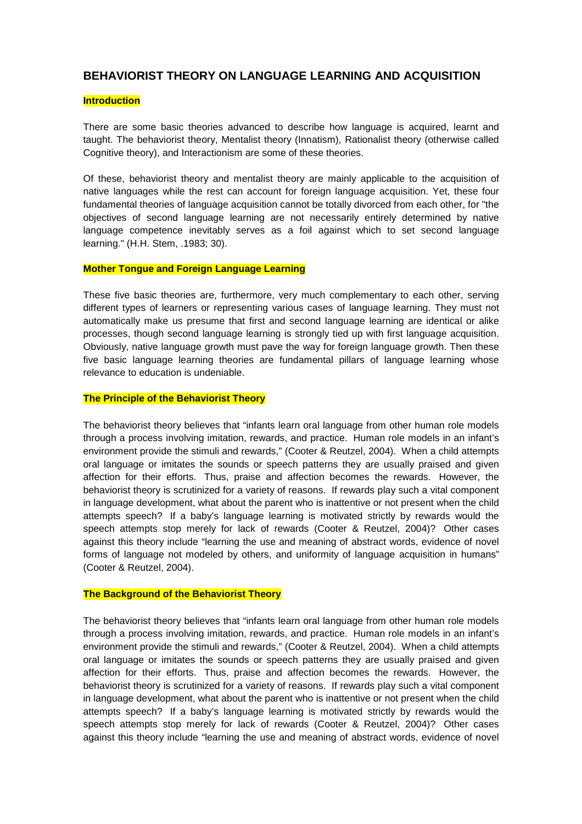# **BEHAVIORIST THEORY ON LANGUAGE LEARNING AND ACQUISITION**

## **Introduction**

There are some basic theories advanced to describe how language is acquired, learnt and taught. The behaviorist theory, Mentalist theory (Innatism), Rationalist theory (otherwise called Cognitive theory), and Interactionism are some of these theories.

Of these, behaviorist theory and mentalist theory are mainly applicable to the acquisition of native languages while the rest can account for foreign language acquisition. Yet, these four fundamental theories of language acquisition cannot be totally divorced from each other, for "the objectives of second language learning are not necessarily entirely determined by native language competence inevitably serves as a foil against which to set second language learning." (H.H. Stem, .1983; 30).

#### **Mother Tongue and Foreign Language Learning**

These five basic theories are, furthermore, very much complementary to each other, serving different types of learners or representing various cases of language learning. They must not automatically make us presume that first and second language learning are identical or alike processes, though second language learning is strongly tied up with first language acquisition. Obviously, native language growth must pave the way for foreign language growth. Then these five basic language learning theories are fundamental pillars of language learning whose relevance to education is undeniable.

### **The Principle of the Behaviorist Theory**

The behaviorist theory believes that "infants learn oral language from other human role models through a process involving imitation, rewards, and practice. Human role models in an infant's environment provide the stimuli and rewards," (Cooter & Reutzel, 2004). When a child attempts oral language or imitates the sounds or speech patterns they are usually praised and given affection for their efforts. Thus, praise and affection becomes the rewards. However, the behaviorist theory is scrutinized for a variety of reasons. If rewards play such a vital component in language development, what about the parent who is inattentive or not present when the child attempts speech? If a baby's language learning is motivated strictly by rewards would the speech attempts stop merely for lack of rewards (Cooter & Reutzel, 2004)? Other cases against this theory include "learning the use and meaning of abstract words, evidence of novel forms of language not modeled by others, and uniformity of language acquisition in humans" (Cooter & Reutzel, 2004).

## **The Background of the Behaviorist Theory**

The behaviorist theory believes that "infants learn oral language from other human role models through a process involving imitation, rewards, and practice. Human role models in an infant's environment provide the stimuli and rewards," (Cooter & Reutzel, 2004). When a child attempts oral language or imitates the sounds or speech patterns they are usually praised and given affection for their efforts. Thus, praise and affection becomes the rewards. However, the behaviorist theory is scrutinized for a variety of reasons. If rewards play such a vital component in language development, what about the parent who is inattentive or not present when the child attempts speech? If a baby's language learning is motivated strictly by rewards would the speech attempts stop merely for lack of rewards (Cooter & Reutzel, 2004)? Other cases against this theory include "learning the use and meaning of abstract words, evidence of novel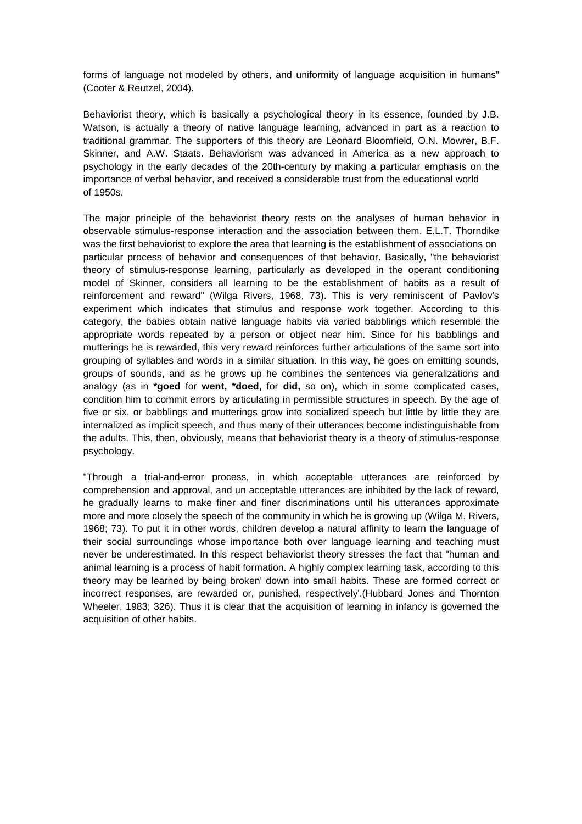forms of language not modeled by others, and uniformity of language acquisition in humans" (Cooter & Reutzel, 2004).

Behaviorist theory, which is basically a psychological theory in its essence, founded by J.B. Watson, is actually a theory of native language learning, advanced in part as a reaction to traditional grammar. The supporters of this theory are Leonard Bloomfield, O.N. Mowrer, B.F. Skinner, and A.W. Staats. Behaviorism was advanced in America as a new approach to psychology in the early decades of the 20th-century by making a particular emphasis on the importance of verbal behavior, and received a considerable trust from the educational world of 1950s.

The major principle of the behaviorist theory rests on the analyses of human behavior in observable stimulus-response interaction and the association between them. E.L.T. Thorndike was the first behaviorist to explore the area that learning is the establishment of associations on particular process of behavior and consequences of that behavior. Basically, "the behaviorist theory of stimulus-response learning, particularly as developed in the operant conditioning model of Skinner, considers all learning to be the establishment of habits as a result of reinforcement and reward" (Wilga Rivers, 1968, 73). This is very reminiscent of Pavlov's experiment which indicates that stimulus and response work together. According to this category, the babies obtain native language habits via varied babblings which resemble the appropriate words repeated by a person or object near him. Since for his babblings and mutterings he is rewarded, this very reward reinforces further articulations of the same sort into grouping of syllables and words in a similar situation. In this way, he goes on emitting sounds, groups of sounds, and as he grows up he combines the sentences via generalizations and analogy (as in **\*goed** for **went, \*doed,** for **did,** so on), which in some complicated cases, condition him to commit errors by articulating in permissible structures in speech. By the age of five or six, or babblings and mutterings grow into socialized speech but little by little they are internalized as implicit speech, and thus many of their utterances become indistinguishable from the adults. This, then, obviously, means that behaviorist theory is a theory of stimulus-response psychology.

"Through a trial-and-error process, in which acceptable utterances are reinforced by comprehension and approval, and un acceptable utterances are inhibited by the lack of reward, he gradually learns to make finer and finer discriminations until his utterances approximate more and more closely the speech of the community in which he is growing up (Wilga M. Rivers, 1968; 73). To put it in other words, children develop a natural affinity to learn the language of their social surroundings whose importance both over language learning and teaching must never be underestimated. In this respect behaviorist theory stresses the fact that "human and animal learning is a process of habit formation. A highly complex learning task, according to this theory may be learned by being broken' down into smaIl habits. These are formed correct or incorrect responses, are rewarded or, punished, respectively'.(Hubbard Jones and Thornton Wheeler, 1983; 326). Thus it is clear that the acquisition of learning in infancy is governed the acquisition of other habits.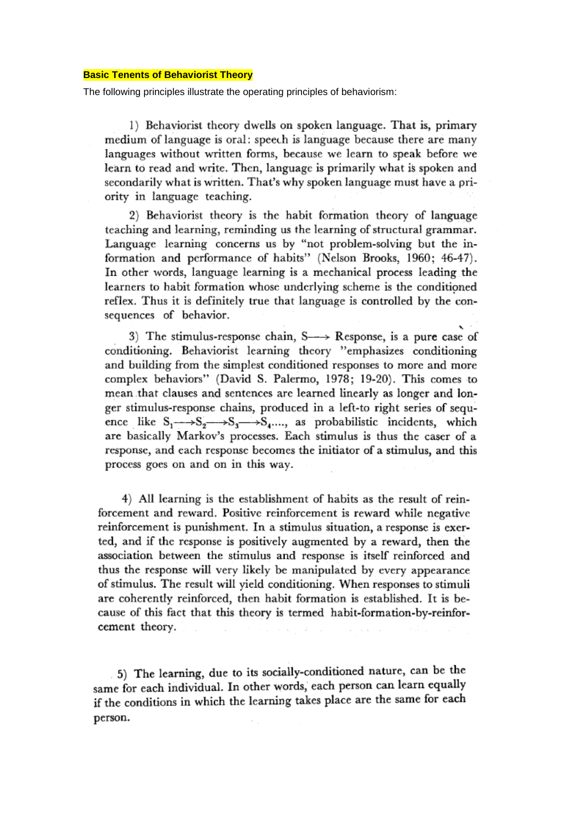#### **Basic Tenents of Behaviorist Theory**

The following principles illustrate the operating principles of behaviorism:

1) Behaviorist theory dwells on spoken language. That is, primary medium of language is oral; speech is language because there are many languages without written forms, because we learn to speak before we learn to read and write. Then, language is primarily what is spoken and secondarily what is written. That's why spoken language must have a priority in language teaching.

2) Behaviorist theory is the habit formation theory of language teaching and learning, reminding us the learning of structural grammar. Language learning concerns us by "not problem-solving but the information and performance of habits" (Nelson Brooks, 1960; 46-47). In other words, language learning is a mechanical process leading the learners to habit formation whose underlying scheme is the conditioned reflex. Thus it is definitely true that language is controlled by the consequences of behavior.

3) The stimulus-response chain,  $S \rightarrow Respose$ , is a pure case of conditioning. Behaviorist learning theory "emphasizes conditioning and building from the simplest conditioned responses to more and more complex behaviors" (David S. Palermo, 1978; 19-20). This comes to mean that clauses and sentences are learned linearly as longer and longer stimulus-response chains, produced in a left-to right series of sequence like  $S_1 \rightarrow S_2 \rightarrow S_3 \rightarrow S_4 \dots$ , as probabilistic incidents, which are basically Markov's processes. Each stimulus is thus the caser of a response, and each response becomes the initiator of a stimulus, and this process goes on and on in this way.

4) All learning is the establishment of habits as the result of reinforcement and reward. Positive reinforcement is reward while negative reinforcement is punishment. In a stimulus situation, a response is exerted, and if the response is positively augmented by a reward, then the association between the stimulus and response is itself reinforced and thus the response will very likely be manipulated by every appearance of stimulus. The result will yield conditioning. When responses to stimuli are coherently reinforced, then habit formation is established. It is because of this fact that this theory is termed habit-formation-by-reinforcement theory.

5) The learning, due to its socially-conditioned nature, can be the same for each individual. In other words, each person can learn equally if the conditions in which the learning takes place are the same for each person.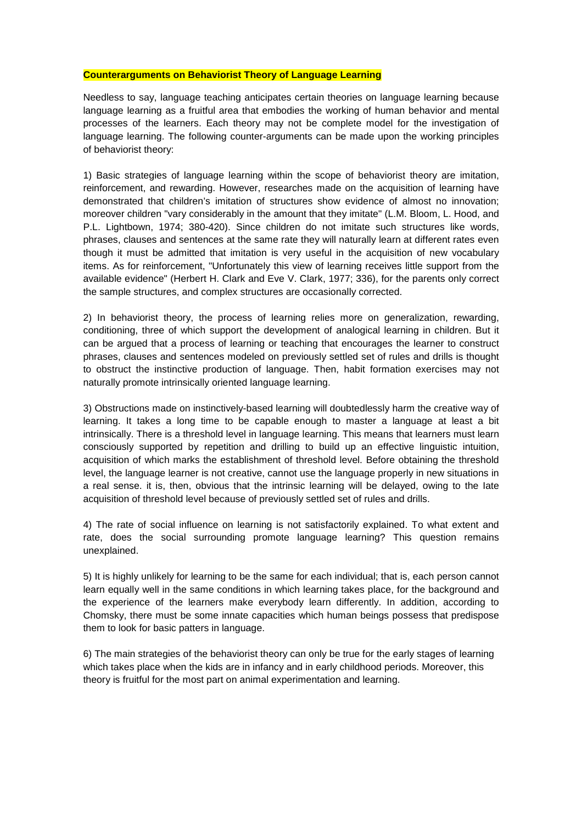#### **Counterarguments on Behaviorist Theory of Language Learning**

Needless to say, language teaching anticipates certain theories on language learning because language learning as a fruitful area that embodies the working of human behavior and mental processes of the learners. Each theory may not be complete model for the investigation of language learning. The following counter-arguments can be made upon the working principles of behaviorist theory:

1) Basic strategies of language learning within the scope of behaviorist theory are imitation, reinforcement, and rewarding. However, researches made on the acquisition of learning have demonstrated that children's imitation of structures show evidence of almost no innovation; moreover children "vary considerably in the amount that they imitate" (L.M. Bloom, L. Hood, and P.L. Lightbown, 1974; 380-420). Since children do not imitate such structures like words, phrases, clauses and sentences at the same rate they will naturally learn at different rates even though it must be admitted that imitation is very useful in the acquisition of new vocabulary items. As for reinforcement, "Unfortunately this view of learning receives little support from the available evidence" (Herbert H. Clark and Eve V. Clark, 1977; 336), for the parents only correct the sample structures, and complex structures are occasionally corrected.

2) In behaviorist theory, the process of learning relies more on generalization, rewarding, conditioning, three of which support the development of analogical learning in children. But it can be argued that a process of learning or teaching that encourages the learner to construct phrases, clauses and sentences modeled on previously settled set of rules and drills is thought to obstruct the instinctive production of language. Then, habit formation exercises may not naturally promote intrinsically oriented language learning.

3) Obstructions made on instinctively-based learning will doubtedlessly harm the creative way of learning. It takes a long time to be capable enough to master a language at least a bit intrinsically. There is a threshold level in language learning. This means that learners must learn consciously supported by repetition and drilling to build up an effective linguistic intuition, acquisition of which marks the establishment of threshold level. Before obtaining the threshold level, the language learner is not creative, cannot use the language properly in new situations in a real sense. it is, then, obvious that the intrinsic learning will be delayed, owing to the Iate acquisition of threshold level because of previously settled set of rules and drills.

4) The rate of social influence on learning is not satisfactorily explained. To what extent and rate, does the social surrounding promote language learning? This question remains unexplained.

5) It is highly unlikely for learning to be the same for each individual; that is, each person cannot learn equally well in the same conditions in which learning takes place, for the background and the experience of the learners make everybody learn differently. In addition, according to Chomsky, there must be some innate capacities which human beings possess that predispose them to look for basic patters in language.

6) The main strategies of the behaviorist theory can only be true for the early stages of learning which takes place when the kids are in infancy and in early childhood periods. Moreover, this theory is fruitful for the most part on animal experimentation and learning.